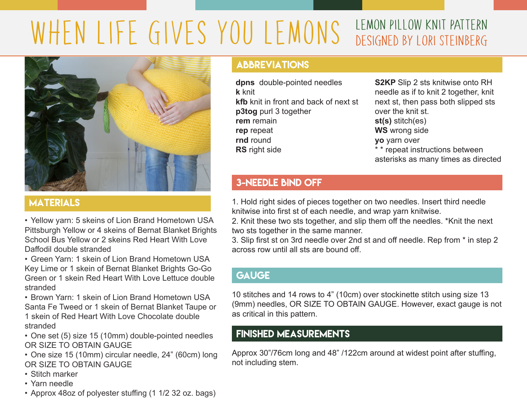# WHEN LIFE GIVES YOU LEMONS LEMON PILLOW KNIT PATTERN designed by Lori Steinberg



## **MATERIALS**

• Yellow yarn: 5 skeins of Lion Brand Hometown USA Pittsburgh Yellow or 4 skeins of Bernat Blanket Brights School Bus Yellow or 2 skeins Red Heart With Love Daffodil double stranded

• Green Yarn: 1 skein of Lion Brand Hometown USA Key Lime or 1 skein of Bernat Blanket Brights Go-Go Green or 1 skein Red Heart With Love Lettuce double stranded

• Brown Yarn: 1 skein of Lion Brand Hometown USA Santa Fe Tweed or 1 skein of Bernat Blanket Taupe or 1 skein of Red Heart With Love Chocolate double stranded

• One set (5) size 15 (10mm) double-pointed needles OR SIZE TO OBTAIN GAUGE

• One size 15 (10mm) circular needle, 24" (60cm) long OR SIZE TO OBTAIN GAUGE

- Stitch marker
- Yarn needle
- Approx 48oz of polyester stuffing (1 1/2 32 oz. bags)

### ABBREVIATIONS

**dpns** double-pointed needles **k** knit **kfb** knit in front and back of next st **p3tog** purl 3 together **rem** remain **rep** repeat **rnd** round **RS** right side

**S2KP** Slip 2 sts knitwise onto RH needle as if to knit 2 together, knit next st, then pass both slipped sts over the knit st. **st(s)** stitch(es) **WS** wrong side **yo** yarn over \* \* repeat instructions between asterisks as many times as directed

#### 3-NEEDLE BIND OFF

1. Hold right sides of pieces together on two needles. Insert third needle knitwise into first st of each needle, and wrap yarn knitwise.

2. Knit these two sts together, and slip them off the needles. \*Knit the next two sts together in the same manner.

3. Slip first st on 3rd needle over 2nd st and off needle. Rep from \* in step 2 across row until all sts are bound off.

## **GAUGE**

10 stitches and 14 rows to 4" (10cm) over stockinette stitch using size 13 (9mm) needles, OR SIZE TO OBTAIN GAUGE. However, exact gauge is not as critical in this pattern.

#### FINISHED MEASUREMENTS

Approx 30"/76cm long and 48" /122cm around at widest point after stuffing, not including stem.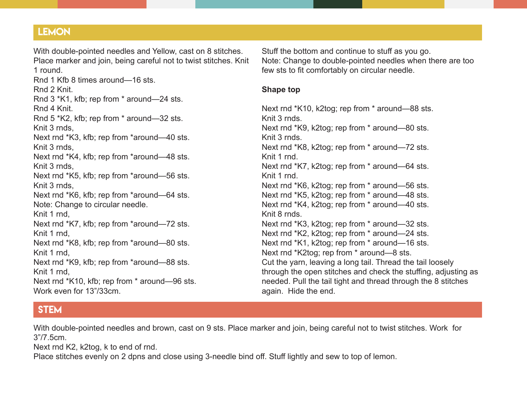#### **LEMON**

With double-pointed needles and Yellow, cast on 8 stitches. Place marker and join, being careful not to twist stitches. Knit 1 round.

Rnd 1 Kfb 8 times around—16 sts. Rnd 2 Knit. Rnd 3 \*K1, kfb; rep from \* around—24 sts. Rnd 4 Knit. Rnd 5 \*K2, kfb; rep from \* around—32 sts. Knit 3 rnds, Next rnd \*K3, kfb; rep from \*around—40 sts. Knit 3 rnds, Next rnd \*K4, kfb; rep from \*around—48 sts. Knit 3 rnds, Next rnd \*K5, kfb; rep from \*around—56 sts. Knit 3 rnds, Next rnd \*K6, kfb; rep from \*around—64 sts. Note: Change to circular needle. Knit 1 rnd, Next rnd \*K7, kfb; rep from \*around—72 sts. Knit 1 rnd, Next rnd \*K8, kfb; rep from \*around—80 sts. Knit 1 rnd, Next rnd \*K9, kfb; rep from \*around—88 sts. Knit 1 rnd, Next rnd \*K10, kfb; rep from \* around—96 sts. Work even for 13"/33cm.

Stuff the bottom and continue to stuff as you go. Note: Change to double-pointed needles when there are too few sts to fit comfortably on circular needle.

#### **Shape top**

Next rnd \*K10, k2tog; rep from \* around—88 sts. Knit 3 rnds. Next rnd \*K9, k2tog; rep from \* around—80 sts. Knit 3 rnds. Next rnd \*K8, k2tog; rep from \* around—72 sts. Knit 1 rnd. Next rnd \*K7, k2tog; rep from \* around—64 sts. Knit 1 rnd. Next rnd \*K6, k2tog; rep from \* around—56 sts. Next rnd \*K5, k2tog; rep from \* around—48 sts. Next rnd \*K4, k2tog; rep from \* around—40 sts. Knit 8 rnds. Next rnd \*K3, k2tog; rep from \* around—32 sts. Next rnd \*K2, k2tog; rep from \* around—24 sts. Next rnd \*K1, k2tog; rep from \* around—16 sts. Next rnd \*K2tog; rep from \* around—8 sts. Cut the yarn, leaving a long tail. Thread the tail loosely through the open stitches and check the stuffing, adjusting as needed. Pull the tail tight and thread through the 8 stitches again. Hide the end.

## STEM

With double-pointed needles and brown, cast on 9 sts. Place marker and join, being careful not to twist stitches. Work for 3"/7.5cm.

Next rnd K2, k2tog, k to end of rnd.

Place stitches evenly on 2 dpns and close using 3-needle bind off. Stuff lightly and sew to top of lemon.